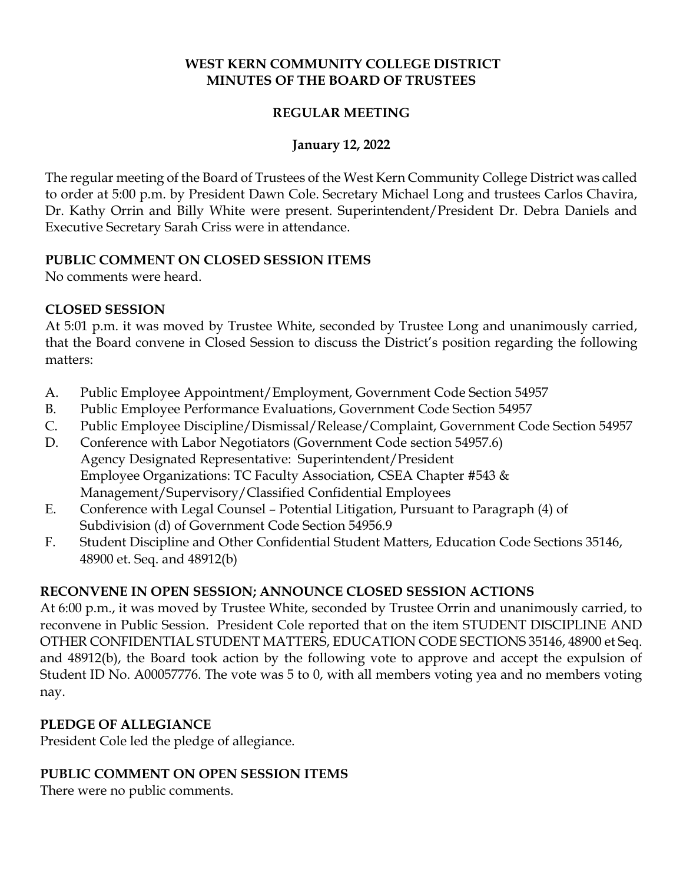## **WEST KERN COMMUNITY COLLEGE DISTRICT MINUTES OF THE BOARD OF TRUSTEES**

## **REGULAR MEETING**

## **January 12, 2022**

The regular meeting of the Board of Trustees of the West Kern Community College District was called to order at 5:00 p.m. by President Dawn Cole. Secretary Michael Long and trustees Carlos Chavira, Dr. Kathy Orrin and Billy White were present. Superintendent/President Dr. Debra Daniels and Executive Secretary Sarah Criss were in attendance.

### **PUBLIC COMMENT ON CLOSED SESSION ITEMS**

No comments were heard.

## **CLOSED SESSION**

At 5:01 p.m. it was moved by Trustee White, seconded by Trustee Long and unanimously carried, that the Board convene in Closed Session to discuss the District's position regarding the following matters:

- A. Public Employee Appointment/Employment, Government Code Section 54957
- B. Public Employee Performance Evaluations, Government Code Section 54957
- C. Public Employee Discipline/Dismissal/Release/Complaint, Government Code Section 54957
- D. Conference with Labor Negotiators (Government Code section 54957.6) Agency Designated Representative: Superintendent/President Employee Organizations: TC Faculty Association, CSEA Chapter #543 & Management/Supervisory/Classified Confidential Employees
- E. Conference with Legal Counsel Potential Litigation, Pursuant to Paragraph (4) of Subdivision (d) of Government Code Section 54956.9
- F. Student Discipline and Other Confidential Student Matters, Education Code Sections 35146, 48900 et. Seq. and 48912(b)

## **RECONVENE IN OPEN SESSION; ANNOUNCE CLOSED SESSION ACTIONS**

At 6:00 p.m., it was moved by Trustee White, seconded by Trustee Orrin and unanimously carried, to reconvene in Public Session. President Cole reported that on the item STUDENT DISCIPLINE AND OTHER CONFIDENTIAL STUDENT MATTERS, EDUCATION CODE SECTIONS 35146, 48900 et Seq. and 48912(b), the Board took action by the following vote to approve and accept the expulsion of Student ID No. A00057776. The vote was 5 to 0, with all members voting yea and no members voting nay.

## **PLEDGE OF ALLEGIANCE**

President Cole led the pledge of allegiance.

## **PUBLIC COMMENT ON OPEN SESSION ITEMS**

There were no public comments.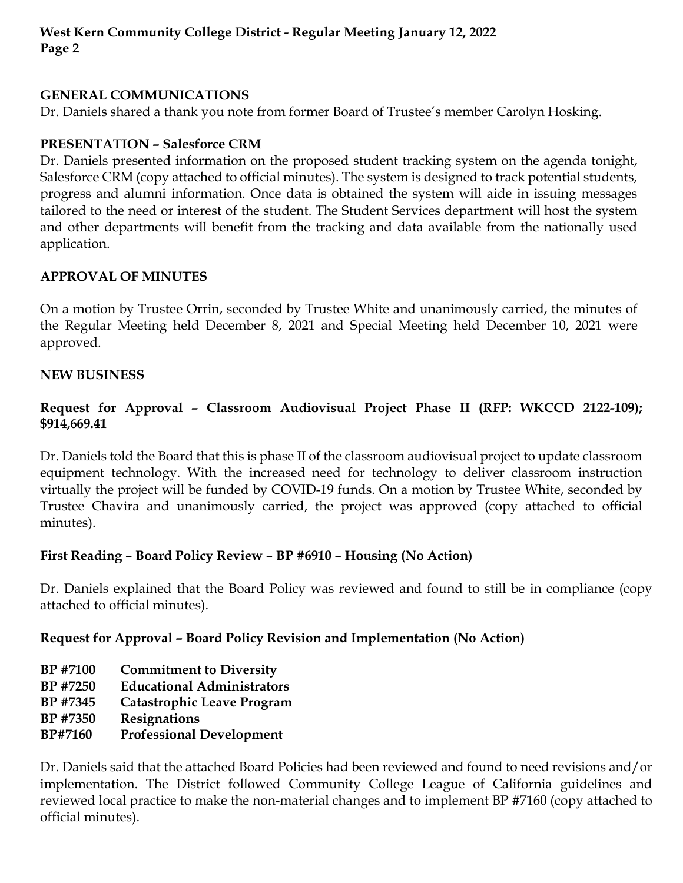## **GENERAL COMMUNICATIONS**

Dr. Daniels shared a thank you note from former Board of Trustee's member Carolyn Hosking.

## **PRESENTATION – Salesforce CRM**

Dr. Daniels presented information on the proposed student tracking system on the agenda tonight, Salesforce CRM (copy attached to official minutes). The system is designed to track potential students, progress and alumni information. Once data is obtained the system will aide in issuing messages tailored to the need or interest of the student. The Student Services department will host the system and other departments will benefit from the tracking and data available from the nationally used application.

# **APPROVAL OF MINUTES**

On a motion by Trustee Orrin, seconded by Trustee White and unanimously carried, the minutes of the Regular Meeting held December 8, 2021 and Special Meeting held December 10, 2021 were approved.

## **NEW BUSINESS**

# **Request for Approval – Classroom Audiovisual Project Phase II (RFP: WKCCD 2122-109); \$914,669.41**

Dr. Daniels told the Board that this is phase II of the classroom audiovisual project to update classroom equipment technology. With the increased need for technology to deliver classroom instruction virtually the project will be funded by COVID-19 funds. On a motion by Trustee White, seconded by Trustee Chavira and unanimously carried, the project was approved (copy attached to official minutes).

## **First Reading – Board Policy Review – BP #6910 – Housing (No Action)**

Dr. Daniels explained that the Board Policy was reviewed and found to still be in compliance (copy attached to official minutes).

## **Request for Approval – Board Policy Revision and Implementation (No Action)**

- **BP #7100 Commitment to Diversity**
- **BP #7250 Educational Administrators**
- **BP #7345 Catastrophic Leave Program**
- **BP #7350 Resignations**
- **BP#7160 Professional Development**

Dr. Daniels said that the attached Board Policies had been reviewed and found to need revisions and/or implementation. The District followed Community College League of California guidelines and reviewed local practice to make the non-material changes and to implement BP #7160 (copy attached to official minutes).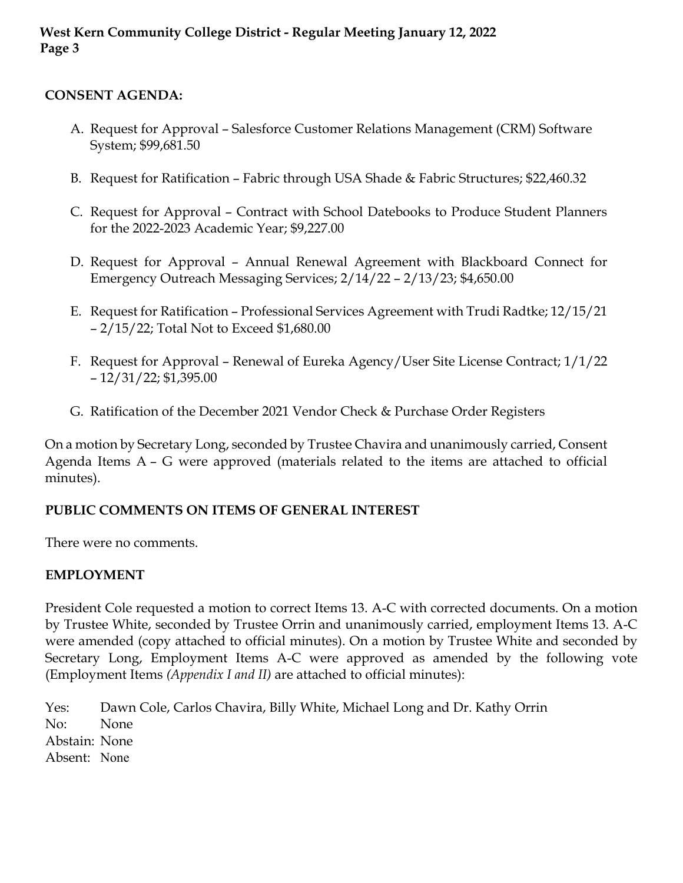## **CONSENT AGENDA:**

- A. Request for Approval Salesforce Customer Relations Management (CRM) Software System; \$99,681.50
- B. Request for Ratification Fabric through USA Shade & Fabric Structures; \$22,460.32
- C. Request for Approval Contract with School Datebooks to Produce Student Planners for the 2022-2023 Academic Year; \$9,227.00
- D. Request for Approval Annual Renewal Agreement with Blackboard Connect for Emergency Outreach Messaging Services; 2/14/22 – 2/13/23; \$4,650.00
- E. Request for Ratification Professional Services Agreement with Trudi Radtke; 12/15/21 – 2/15/22; Total Not to Exceed \$1,680.00
- F. Request for Approval Renewal of Eureka Agency/User Site License Contract; 1/1/22 – 12/31/22; \$1,395.00
- G. Ratification of the December 2021 Vendor Check & Purchase Order Registers

On a motion by Secretary Long, seconded by Trustee Chavira and unanimously carried, Consent Agenda Items A – G were approved (materials related to the items are attached to official minutes).

#### **PUBLIC COMMENTS ON ITEMS OF GENERAL INTEREST**

There were no comments.

#### **EMPLOYMENT**

President Cole requested a motion to correct Items 13. A-C with corrected documents. On a motion by Trustee White, seconded by Trustee Orrin and unanimously carried, employment Items 13. A-C were amended (copy attached to official minutes). On a motion by Trustee White and seconded by Secretary Long, Employment Items A-C were approved as amended by the following vote (Employment Items *(Appendix I and II)* are attached to official minutes):

Yes: Dawn Cole, Carlos Chavira, Billy White, Michael Long and Dr. Kathy Orrin No: None Abstain: None Absent: None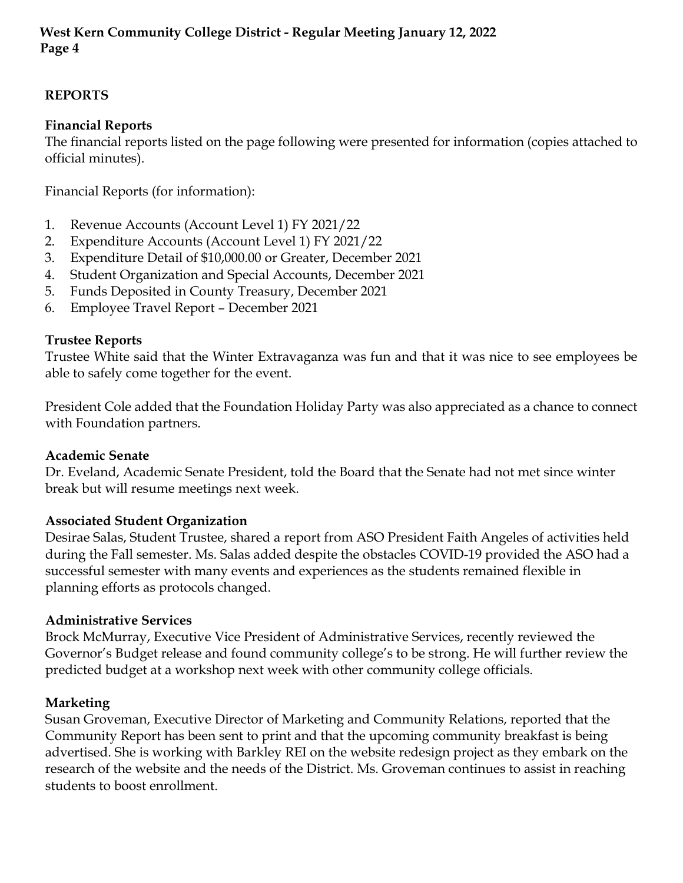# **REPORTS**

# **Financial Reports**

The financial reports listed on the page following were presented for information (copies attached to official minutes).

Financial Reports (for information):

- 1. Revenue Accounts (Account Level 1) FY 2021/22
- 2. Expenditure Accounts (Account Level 1) FY 2021/22
- 3. Expenditure Detail of \$10,000.00 or Greater, December 2021
- 4. Student Organization and Special Accounts, December 2021
- 5. Funds Deposited in County Treasury, December 2021
- 6. Employee Travel Report December 2021

## **Trustee Reports**

Trustee White said that the Winter Extravaganza was fun and that it was nice to see employees be able to safely come together for the event.

President Cole added that the Foundation Holiday Party was also appreciated as a chance to connect with Foundation partners.

#### **Academic Senate**

Dr. Eveland, Academic Senate President, told the Board that the Senate had not met since winter break but will resume meetings next week.

## **Associated Student Organization**

Desirae Salas, Student Trustee, shared a report from ASO President Faith Angeles of activities held during the Fall semester. Ms. Salas added despite the obstacles COVID-19 provided the ASO had a successful semester with many events and experiences as the students remained flexible in planning efforts as protocols changed.

#### **Administrative Services**

Brock McMurray, Executive Vice President of Administrative Services, recently reviewed the Governor's Budget release and found community college's to be strong. He will further review the predicted budget at a workshop next week with other community college officials.

## **Marketing**

Susan Groveman, Executive Director of Marketing and Community Relations, reported that the Community Report has been sent to print and that the upcoming community breakfast is being advertised. She is working with Barkley REI on the website redesign project as they embark on the research of the website and the needs of the District. Ms. Groveman continues to assist in reaching students to boost enrollment.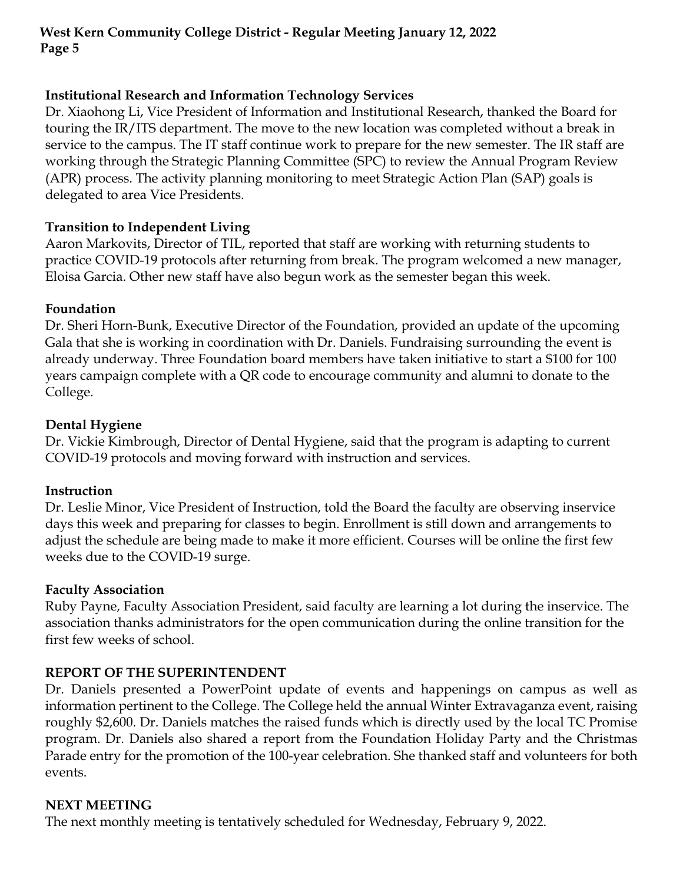## **Institutional Research and Information Technology Services**

Dr. Xiaohong Li, Vice President of Information and Institutional Research, thanked the Board for touring the IR/ITS department. The move to the new location was completed without a break in service to the campus. The IT staff continue work to prepare for the new semester. The IR staff are working through the Strategic Planning Committee (SPC) to review the Annual Program Review (APR) process. The activity planning monitoring to meet Strategic Action Plan (SAP) goals is delegated to area Vice Presidents.

### **Transition to Independent Living**

Aaron Markovits, Director of TIL, reported that staff are working with returning students to practice COVID-19 protocols after returning from break. The program welcomed a new manager, Eloisa Garcia. Other new staff have also begun work as the semester began this week.

### **Foundation**

Dr. Sheri Horn-Bunk, Executive Director of the Foundation, provided an update of the upcoming Gala that she is working in coordination with Dr. Daniels. Fundraising surrounding the event is already underway. Three Foundation board members have taken initiative to start a \$100 for 100 years campaign complete with a QR code to encourage community and alumni to donate to the College.

### **Dental Hygiene**

Dr. Vickie Kimbrough, Director of Dental Hygiene, said that the program is adapting to current COVID-19 protocols and moving forward with instruction and services.

#### **Instruction**

Dr. Leslie Minor, Vice President of Instruction, told the Board the faculty are observing inservice days this week and preparing for classes to begin. Enrollment is still down and arrangements to adjust the schedule are being made to make it more efficient. Courses will be online the first few weeks due to the COVID-19 surge.

#### **Faculty Association**

Ruby Payne, Faculty Association President, said faculty are learning a lot during the inservice. The association thanks administrators for the open communication during the online transition for the first few weeks of school.

## **REPORT OF THE SUPERINTENDENT**

Dr. Daniels presented a PowerPoint update of events and happenings on campus as well as information pertinent to the College. The College held the annual Winter Extravaganza event, raising roughly \$2,600. Dr. Daniels matches the raised funds which is directly used by the local TC Promise program. Dr. Daniels also shared a report from the Foundation Holiday Party and the Christmas Parade entry for the promotion of the 100-year celebration. She thanked staff and volunteers for both events.

## **NEXT MEETING**

The next monthly meeting is tentatively scheduled for Wednesday, February 9, 2022.